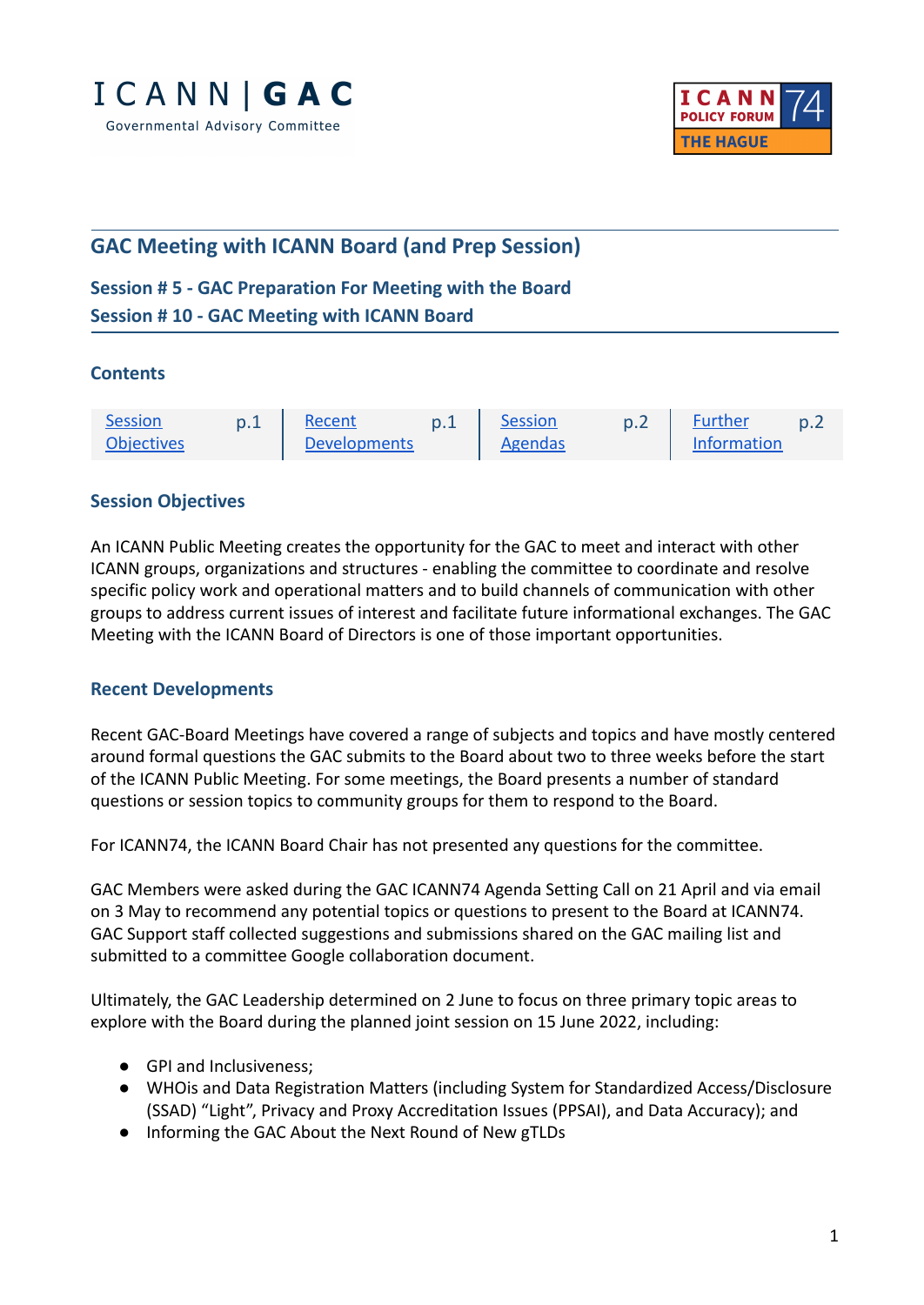



# **GAC Meeting with ICANN Board (and Prep Session)**

## **Session # 5 - GAC Preparation For Meeting with the Board Session # 10 - GAC Meeting with ICANN Board**

## **Contents**

| <b>Session</b>    |                     | Session | D.Z | Further     |  |
|-------------------|---------------------|---------|-----|-------------|--|
| <b>Objectives</b> | <b>Developments</b> | Agendas |     | Information |  |

## <span id="page-0-0"></span>**Session Objectives**

An ICANN Public Meeting creates the opportunity for the GAC to meet and interact with other ICANN groups, organizations and structures - enabling the committee to coordinate and resolve specific policy work and operational matters and to build channels of communication with other groups to address current issues of interest and facilitate future informational exchanges. The GAC Meeting with the ICANN Board of Directors is one of those important opportunities.

## <span id="page-0-1"></span>**Recent Developments**

Recent GAC-Board Meetings have covered a range of subjects and topics and have mostly centered around formal questions the GAC submits to the Board about two to three weeks before the start of the ICANN Public Meeting. For some meetings, the Board presents a number of standard questions or session topics to community groups for them to respond to the Board.

For ICANN74, the ICANN Board Chair has not presented any questions for the committee.

GAC Members were asked during the GAC ICANN74 Agenda Setting Call on 21 April and via email on 3 May to recommend any potential topics or questions to present to the Board at ICANN74. GAC Support staff collected suggestions and submissions shared on the GAC mailing list and submitted to a committee Google collaboration document.

Ultimately, the GAC Leadership determined on 2 June to focus on three primary topic areas to explore with the Board during the planned joint session on 15 June 2022, including:

- GPI and Inclusiveness;
- WHOis and Data Registration Matters (including System for Standardized Access/Disclosure (SSAD) "Light", Privacy and Proxy Accreditation Issues (PPSAI), and Data Accuracy); and
- Informing the GAC About the Next Round of New gTLDs